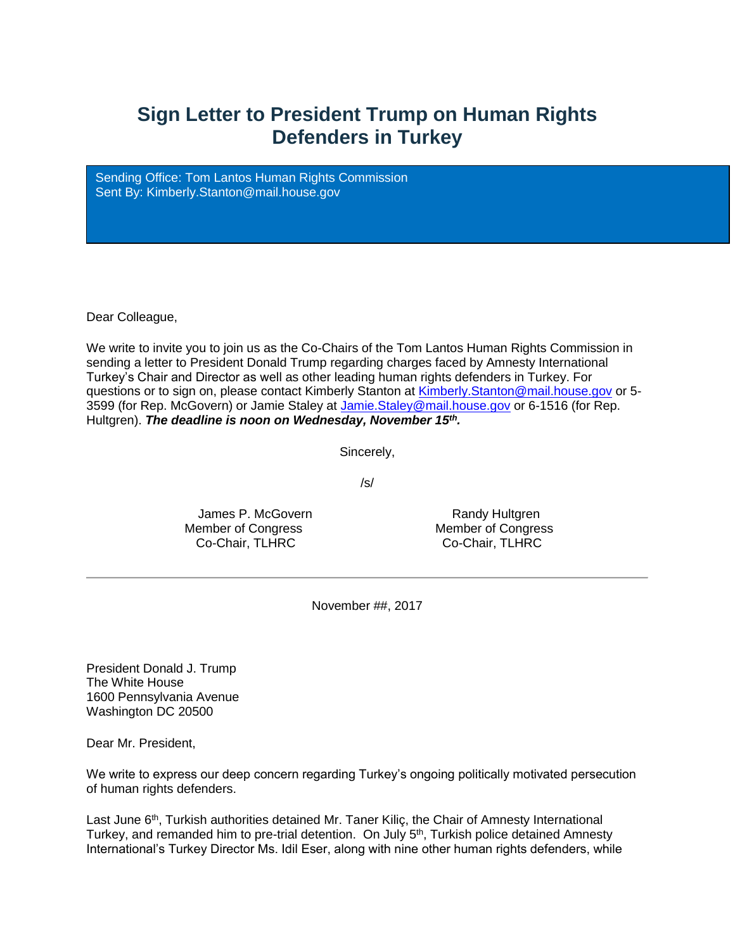## **Sign Letter to President Trump on Human Rights Defenders in Turkey**

Sending Office: Tom Lantos Human Rights Commission Sent By: [Kimberly.Stanton@mail.house.gov](mailto:%20Kimberly.Stanton@mail.house.gov)

Dear Colleague,

We write to invite you to join us as the Co-Chairs of the Tom Lantos Human Rights Commission in sending a letter to President Donald Trump regarding charges faced by Amnesty International Turkey's Chair and Director as well as other leading human rights defenders in Turkey. For questions or to sign on, please contact Kimberly Stanton at [Kimberly.Stanton@mail.house.gov](mailto:Kimberly.Stanton@mail.house.gov) or 5- 3599 (for Rep. McGovern) or Jamie Staley at [Jamie.Staley@mail.house.gov](mailto:Jamie.Staley@mail.house.gov) or 6-1516 (for Rep. Hultgren). *The deadline is noon on Wednesday, November 15th .*

Sincerely,

/s/

James P. McGovern **Randy Hultgren** Member of Congress Member of Congress Co-Chair, TLHRC Co-Chair, TLHRC

November ##, 2017

President Donald J. Trump The White House 1600 Pennsylvania Avenue Washington DC 20500

Dear Mr. President,

We write to express our deep concern regarding Turkey's ongoing politically motivated persecution of human rights defenders.

Last June 6<sup>th</sup>, Turkish authorities detained Mr. Taner Kilic, the Chair of Amnesty International Turkey, and remanded him to pre-trial detention. On July 5<sup>th</sup>, Turkish police detained Amnesty International's Turkey Director Ms. Idil Eser, along with nine other human rights defenders, while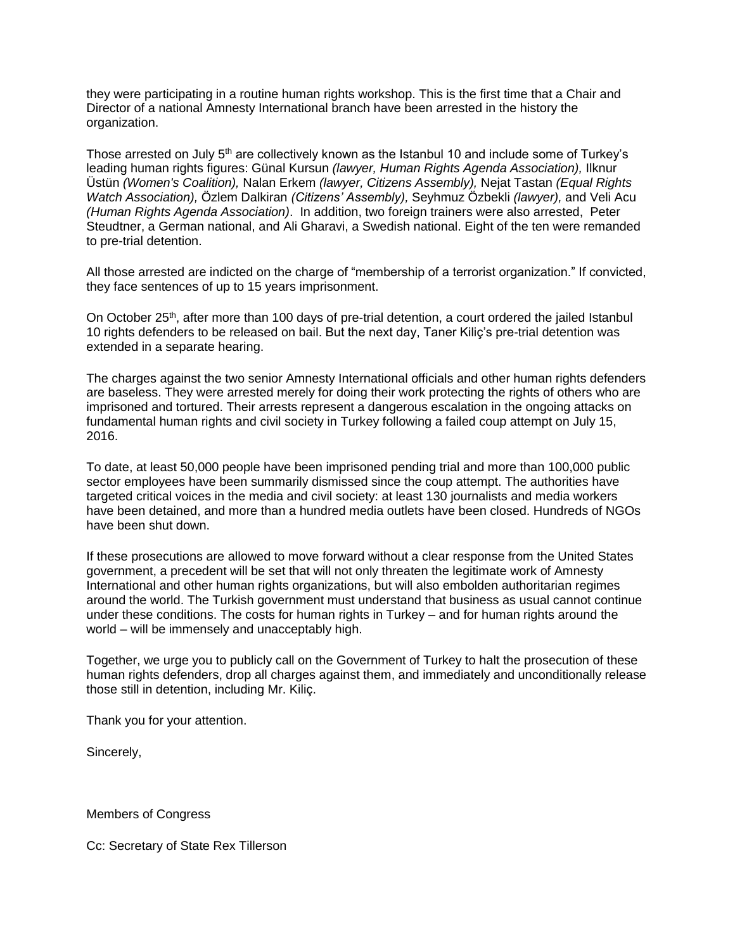they were participating in a routine human rights workshop. This is the first time that a Chair and Director of a national Amnesty International branch have been arrested in the history the organization.

Those arrested on July 5<sup>th</sup> are collectively known as the Istanbul 10 and include some of Turkey's leading human rights figures: Günal Kursun *(lawyer, Human Rights Agenda Association),* Ilknur Üstün *(Women's Coalition),* Nalan Erkem *(lawyer, Citizens Assembly),* Nejat Tastan *(Equal Rights Watch Association),* Özlem Dalkiran *(Citizens' Assembly),* Seyhmuz Özbekli *(lawyer),* and Veli Acu *(Human Rights Agenda Association)*. In addition, two foreign trainers were also arrested, Peter Steudtner, a German national, and Ali Gharavi, a Swedish national. Eight of the ten were remanded to pre-trial detention.

All those arrested are indicted on the charge of "membership of a terrorist organization." If convicted, they face sentences of up to 15 years imprisonment.

On October 25<sup>th</sup>, after more than 100 days of pre-trial detention, a court ordered the jailed Istanbul 10 rights defenders to be released on bail. But the next day, Taner Kiliç's pre-trial detention was extended in a separate hearing.

The charges against the two senior Amnesty International officials and other human rights defenders are baseless. They were arrested merely for doing their work protecting the rights of others who are imprisoned and tortured. Their arrests represent a dangerous escalation in the ongoing attacks on fundamental human rights and civil society in Turkey following a failed coup attempt on July 15, 2016.

To date, at least 50,000 people have been imprisoned pending trial and more than 100,000 public sector employees have been summarily dismissed since the coup attempt. The authorities have targeted critical voices in the media and civil society: at least 130 journalists and media workers have been detained, and more than a hundred media outlets have been closed. Hundreds of NGOs have been shut down.

If these prosecutions are allowed to move forward without a clear response from the United States government, a precedent will be set that will not only threaten the legitimate work of Amnesty International and other human rights organizations, but will also embolden authoritarian regimes around the world. The Turkish government must understand that business as usual cannot continue under these conditions. The costs for human rights in Turkey – and for human rights around the world – will be immensely and unacceptably high.

Together, we urge you to publicly call on the Government of Turkey to halt the prosecution of these human rights defenders, drop all charges against them, and immediately and unconditionally release those still in detention, including Mr. Kiliç.

Thank you for your attention.

Sincerely,

Members of Congress

Cc: Secretary of State Rex Tillerson